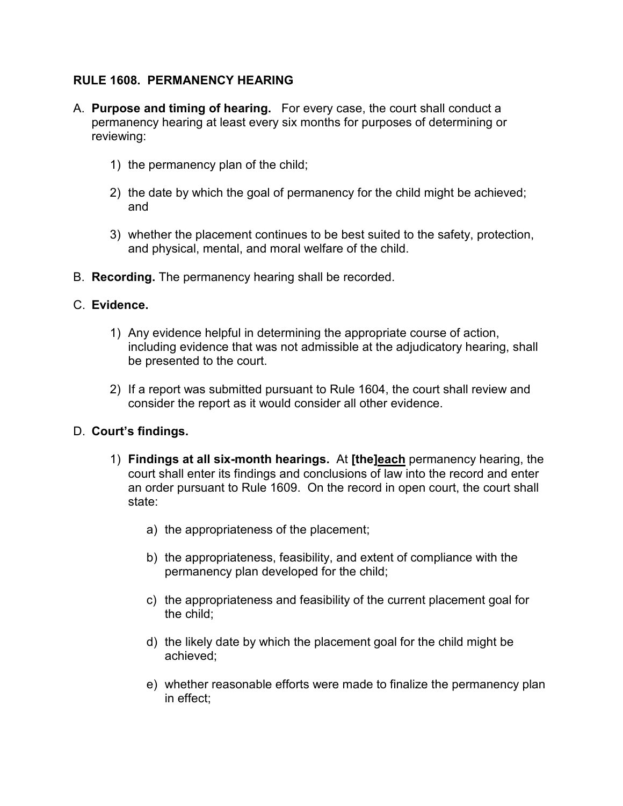## **RULE 1608. PERMANENCY HEARING**

- A. **Purpose and timing of hearing.** For every case, the court shall conduct a permanency hearing at least every six months for purposes of determining or reviewing:
	- 1) the permanency plan of the child;
	- 2) the date by which the goal of permanency for the child might be achieved; and
	- 3) whether the placement continues to be best suited to the safety, protection, and physical, mental, and moral welfare of the child.
- B. **Recording.** The permanency hearing shall be recorded.

## C. **Evidence.**

- 1) Any evidence helpful in determining the appropriate course of action, including evidence that was not admissible at the adjudicatory hearing, shall be presented to the court.
- 2) If a report was submitted pursuant to Rule 1604, the court shall review and consider the report as it would consider all other evidence.

## D. **Court's findings.**

- 1) **Findings at all six-month hearings.** At **[the]each** permanency hearing, the court shall enter its findings and conclusions of law into the record and enter an order pursuant to Rule 1609. On the record in open court, the court shall state:
	- a) the appropriateness of the placement;
	- b) the appropriateness, feasibility, and extent of compliance with the permanency plan developed for the child;
	- c) the appropriateness and feasibility of the current placement goal for the child;
	- d) the likely date by which the placement goal for the child might be achieved;
	- e) whether reasonable efforts were made to finalize the permanency plan in effect;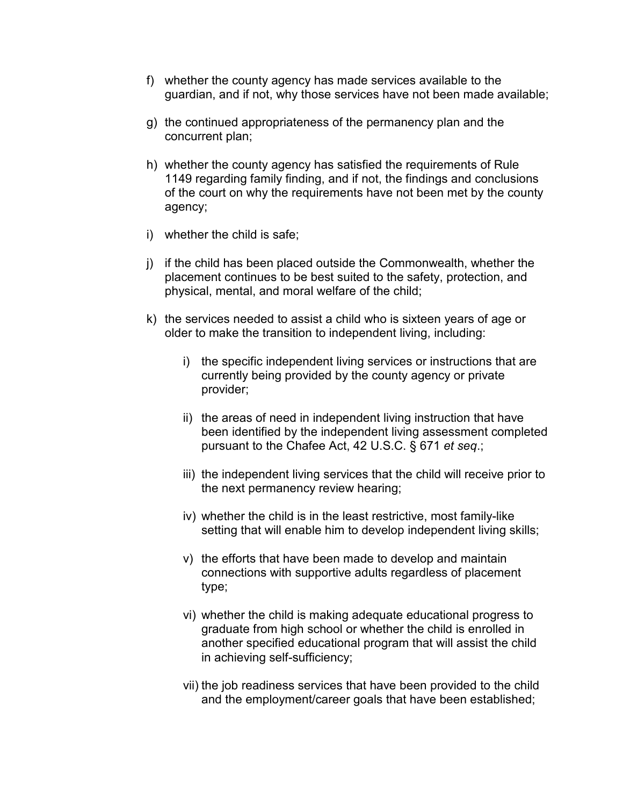- f) whether the county agency has made services available to the guardian, and if not, why those services have not been made available;
- g) the continued appropriateness of the permanency plan and the concurrent plan;
- h) whether the county agency has satisfied the requirements of Rule 1149 regarding family finding, and if not, the findings and conclusions of the court on why the requirements have not been met by the county agency;
- i) whether the child is safe;
- j) if the child has been placed outside the Commonwealth, whether the placement continues to be best suited to the safety, protection, and physical, mental, and moral welfare of the child;
- k) the services needed to assist a child who is sixteen years of age or older to make the transition to independent living, including:
	- i) the specific independent living services or instructions that are currently being provided by the county agency or private provider;
	- ii) the areas of need in independent living instruction that have been identified by the independent living assessment completed pursuant to the Chafee Act, 42 U.S.C. § 671 *et seq*.;
	- iii) the independent living services that the child will receive prior to the next permanency review hearing;
	- iv) whether the child is in the least restrictive, most family-like setting that will enable him to develop independent living skills;
	- v) the efforts that have been made to develop and maintain connections with supportive adults regardless of placement type;
	- vi) whether the child is making adequate educational progress to graduate from high school or whether the child is enrolled in another specified educational program that will assist the child in achieving self-sufficiency;
	- vii) the job readiness services that have been provided to the child and the employment/career goals that have been established;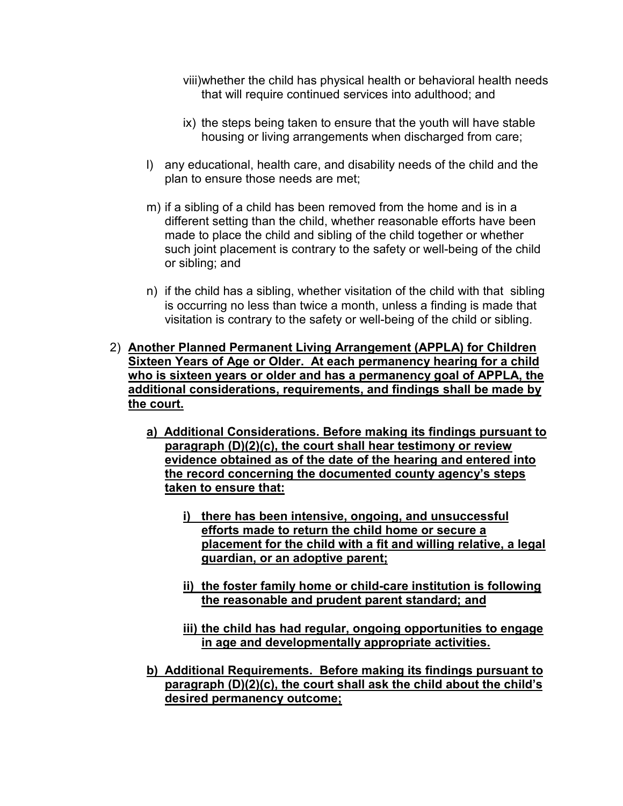viii)whether the child has physical health or behavioral health needs that will require continued services into adulthood; and

- ix) the steps being taken to ensure that the youth will have stable housing or living arrangements when discharged from care;
- l) any educational, health care, and disability needs of the child and the plan to ensure those needs are met;
- m) if a sibling of a child has been removed from the home and is in a different setting than the child, whether reasonable efforts have been made to place the child and sibling of the child together or whether such joint placement is contrary to the safety or well-being of the child or sibling; and
- n) if the child has a sibling, whether visitation of the child with that sibling is occurring no less than twice a month, unless a finding is made that visitation is contrary to the safety or well-being of the child or sibling.
- 2) **Another Planned Permanent Living Arrangement (APPLA) for Children Sixteen Years of Age or Older. At each permanency hearing for a child who is sixteen years or older and has a permanency goal of APPLA, the additional considerations, requirements, and findings shall be made by the court.** 
	- **a) Additional Considerations. Before making its findings pursuant to paragraph (D)(2)(c), the court shall hear testimony or review evidence obtained as of the date of the hearing and entered into the record concerning the documented county agency's steps taken to ensure that:** 
		- **i) there has been intensive, ongoing, and unsuccessful efforts made to return the child home or secure a placement for the child with a fit and willing relative, a legal guardian, or an adoptive parent;**
		- **ii) the foster family home or child-care institution is following the reasonable and prudent parent standard; and**
		- **iii) the child has had regular, ongoing opportunities to engage in age and developmentally appropriate activities.**
	- **b) Additional Requirements. Before making its findings pursuant to paragraph (D)(2)(c), the court shall ask the child about the child's desired permanency outcome;**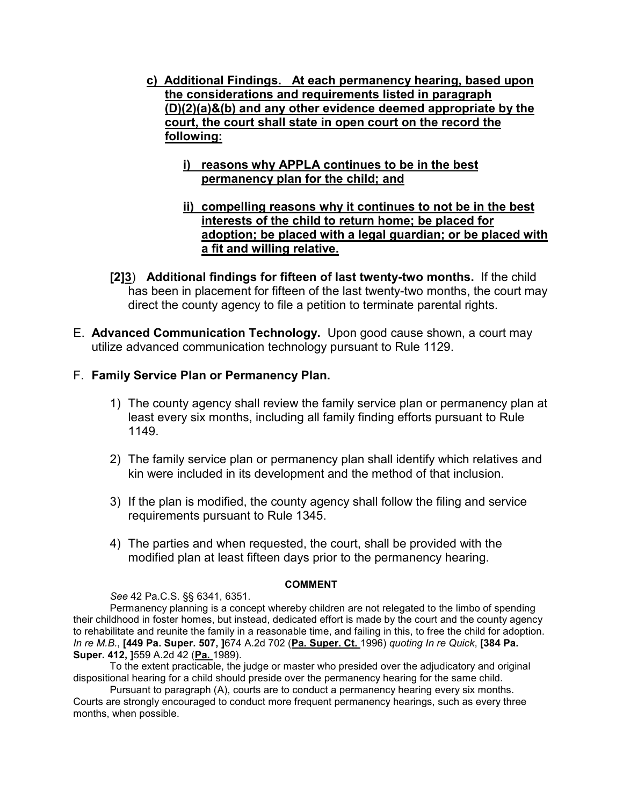- **c) Additional Findings. At each permanency hearing, based upon the considerations and requirements listed in paragraph (D)(2)(a)&(b) and any other evidence deemed appropriate by the court, the court shall state in open court on the record the following:** 
	- **i) reasons why APPLA continues to be in the best permanency plan for the child; and**
	- **ii) compelling reasons why it continues to not be in the best interests of the child to return home; be placed for adoption; be placed with a legal guardian; or be placed with a fit and willing relative.**
- **[2]3**) **Additional findings for fifteen of last twenty-two months.** If the child has been in placement for fifteen of the last twenty-two months, the court may direct the county agency to file a petition to terminate parental rights.
- E. **Advanced Communication Technology.** Upon good cause shown, a court may utilize advanced communication technology pursuant to Rule 1129.
- F. **Family Service Plan or Permanency Plan.** 
	- 1) The county agency shall review the family service plan or permanency plan at least every six months, including all family finding efforts pursuant to Rule 1149.
	- 2) The family service plan or permanency plan shall identify which relatives and kin were included in its development and the method of that inclusion.
	- 3) If the plan is modified, the county agency shall follow the filing and service requirements pursuant to Rule 1345.
	- 4) The parties and when requested, the court, shall be provided with the modified plan at least fifteen days prior to the permanency hearing.

## **COMMENT**

*See* 42 Pa.C.S. §§ 6341, 6351.

 Permanency planning is a concept whereby children are not relegated to the limbo of spending their childhood in foster homes, but instead, dedicated effort is made by the court and the county agency to rehabilitate and reunite the family in a reasonable time, and failing in this, to free the child for adoption. *In re M.B.*, **[449 Pa. Super. 507, ]**674 A.2d 702 (**Pa. Super. Ct.** 1996) *quoting In re Quick*, **[384 Pa. Super. 412, ]**559 A.2d 42 (**Pa.** 1989).

To the extent practicable, the judge or master who presided over the adjudicatory and original dispositional hearing for a child should preside over the permanency hearing for the same child.

Pursuant to paragraph (A), courts are to conduct a permanency hearing every six months. Courts are strongly encouraged to conduct more frequent permanency hearings, such as every three months, when possible.